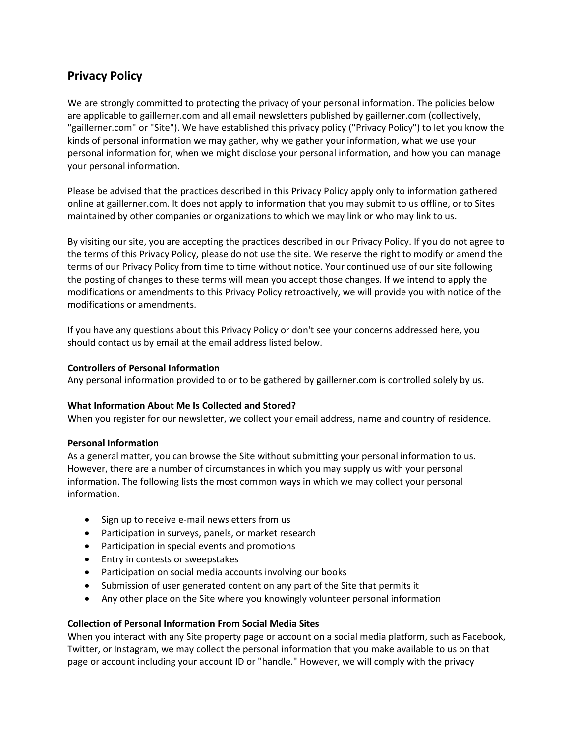# **Privacy Policy**

We are strongly committed to protecting the privacy of your personal information. The policies below are applicable to gaillerner.com and all email newsletters published by gaillerner.com (collectively, "gaillerner.com" or "Site"). We have established this privacy policy ("Privacy Policy") to let you know the kinds of personal information we may gather, why we gather your information, what we use your personal information for, when we might disclose your personal information, and how you can manage your personal information.

Please be advised that the practices described in this Privacy Policy apply only to information gathered online at gaillerner.com. It does not apply to information that you may submit to us offline, or to Sites maintained by other companies or organizations to which we may link or who may link to us.

By visiting our site, you are accepting the practices described in our Privacy Policy. If you do not agree to the terms of this Privacy Policy, please do not use the site. We reserve the right to modify or amend the terms of our Privacy Policy from time to time without notice. Your continued use of our site following the posting of changes to these terms will mean you accept those changes. If we intend to apply the modifications or amendments to this Privacy Policy retroactively, we will provide you with notice of the modifications or amendments.

If you have any questions about this Privacy Policy or don't see your concerns addressed here, you should contact us by email at the email address listed below.

#### **Controllers of Personal Information**

Any personal information provided to or to be gathered by gaillerner.com is controlled solely by us.

#### **What Information About Me Is Collected and Stored?**

When you register for our newsletter, we collect your email address, name and country of residence.

#### **Personal Information**

As a general matter, you can browse the Site without submitting your personal information to us. However, there are a number of circumstances in which you may supply us with your personal information. The following lists the most common ways in which we may collect your personal information.

- Sign up to receive e-mail newsletters from us
- Participation in surveys, panels, or market research
- Participation in special events and promotions
- Entry in contests or sweepstakes
- Participation on social media accounts involving our books
- Submission of user generated content on any part of the Site that permits it
- Any other place on the Site where you knowingly volunteer personal information

#### **Collection of Personal Information From Social Media Sites**

When you interact with any Site property page or account on a social media platform, such as Facebook, Twitter, or Instagram, we may collect the personal information that you make available to us on that page or account including your account ID or "handle." However, we will comply with the privacy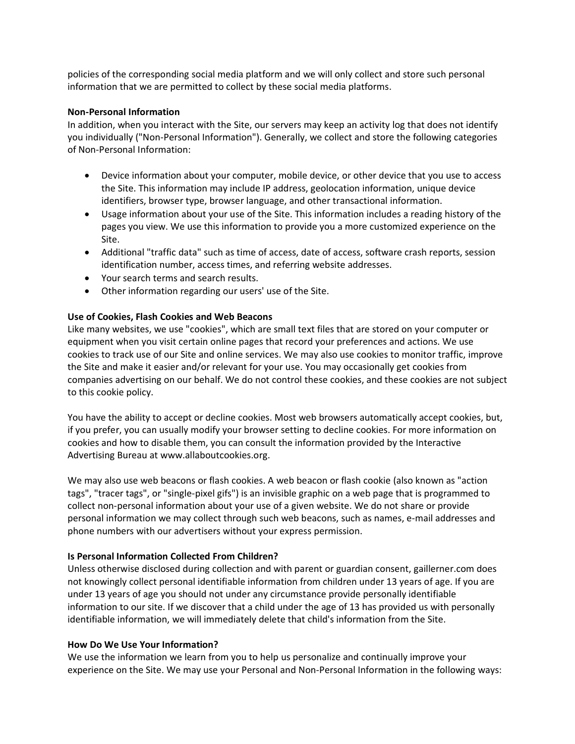policies of the corresponding social media platform and we will only collect and store such personal information that we are permitted to collect by these social media platforms.

#### **Non-Personal Information**

In addition, when you interact with the Site, our servers may keep an activity log that does not identify you individually ("Non-Personal Information"). Generally, we collect and store the following categories of Non-Personal Information:

- Device information about your computer, mobile device, or other device that you use to access the Site. This information may include IP address, geolocation information, unique device identifiers, browser type, browser language, and other transactional information.
- Usage information about your use of the Site. This information includes a reading history of the pages you view. We use this information to provide you a more customized experience on the Site.
- Additional "traffic data" such as time of access, date of access, software crash reports, session identification number, access times, and referring website addresses.
- Your search terms and search results.
- Other information regarding our users' use of the Site.

## **Use of Cookies, Flash Cookies and Web Beacons**

Like many websites, we use "cookies", which are small text files that are stored on your computer or equipment when you visit certain online pages that record your preferences and actions. We use cookies to track use of our Site and online services. We may also use cookies to monitor traffic, improve the Site and make it easier and/or relevant for your use. You may occasionally get cookies from companies advertising on our behalf. We do not control these cookies, and these cookies are not subject to this cookie policy.

You have the ability to accept or decline cookies. Most web browsers automatically accept cookies, but, if you prefer, you can usually modify your browser setting to decline cookies. For more information on cookies and how to disable them, you can consult the information provided by the Interactive Advertising Bureau at www.allaboutcookies.org.

We may also use web beacons or flash cookies. A web beacon or flash cookie (also known as "action tags", "tracer tags", or "single-pixel gifs") is an invisible graphic on a web page that is programmed to collect non-personal information about your use of a given website. We do not share or provide personal information we may collect through such web beacons, such as names, e-mail addresses and phone numbers with our advertisers without your express permission.

## **Is Personal Information Collected From Children?**

Unless otherwise disclosed during collection and with parent or guardian consent, gaillerner.com does not knowingly collect personal identifiable information from children under 13 years of age. If you are under 13 years of age you should not under any circumstance provide personally identifiable information to our site. If we discover that a child under the age of 13 has provided us with personally identifiable information, we will immediately delete that child's information from the Site.

## **How Do We Use Your Information?**

We use the information we learn from you to help us personalize and continually improve your experience on the Site. We may use your Personal and Non-Personal Information in the following ways: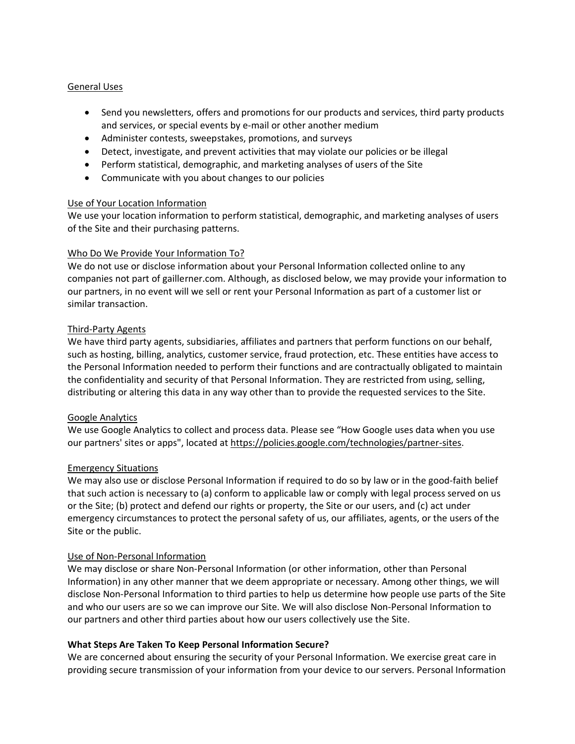## General Uses

- Send you newsletters, offers and promotions for our products and services, third party products and services, or special events by e-mail or other another medium
- Administer contests, sweepstakes, promotions, and surveys
- Detect, investigate, and prevent activities that may violate our policies or be illegal
- Perform statistical, demographic, and marketing analyses of users of the Site
- Communicate with you about changes to our policies

#### Use of Your Location Information

We use your location information to perform statistical, demographic, and marketing analyses of users of the Site and their purchasing patterns.

#### Who Do We Provide Your Information To?

We do not use or disclose information about your Personal Information collected online to any companies not part of gaillerner.com. Although, as disclosed below, we may provide your information to our partners, in no event will we sell or rent your Personal Information as part of a customer list or similar transaction.

#### Third-Party Agents

We have third party agents, subsidiaries, affiliates and partners that perform functions on our behalf, such as hosting, billing, analytics, customer service, fraud protection, etc. These entities have access to the Personal Information needed to perform their functions and are contractually obligated to maintain the confidentiality and security of that Personal Information. They are restricted from using, selling, distributing or altering this data in any way other than to provide the requested services to the Site.

## Google Analytics

We use Google Analytics to collect and process data. Please see "How Google uses data when you use our partners' sites or apps", located at [https://policies.google.com/technologies/partner-sites.](https://policies.google.com/technologies/partner-sites)

#### Emergency Situations

We may also use or disclose Personal Information if required to do so by law or in the good-faith belief that such action is necessary to (a) conform to applicable law or comply with legal process served on us or the Site; (b) protect and defend our rights or property, the Site or our users, and (c) act under emergency circumstances to protect the personal safety of us, our affiliates, agents, or the users of the Site or the public.

#### Use of Non-Personal Information

We may disclose or share Non-Personal Information (or other information, other than Personal Information) in any other manner that we deem appropriate or necessary. Among other things, we will disclose Non-Personal Information to third parties to help us determine how people use parts of the Site and who our users are so we can improve our Site. We will also disclose Non-Personal Information to our partners and other third parties about how our users collectively use the Site.

## **What Steps Are Taken To Keep Personal Information Secure?**

We are concerned about ensuring the security of your Personal Information. We exercise great care in providing secure transmission of your information from your device to our servers. Personal Information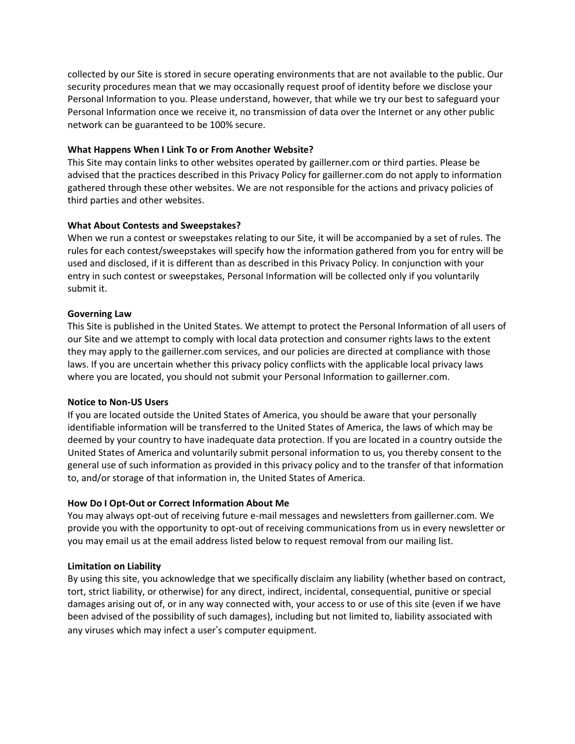collected by our Site is stored in secure operating environments that are not available to the public. Our security procedures mean that we may occasionally request proof of identity before we disclose your Personal Information to you. Please understand, however, that while we try our best to safeguard your Personal Information once we receive it, no transmission of data over the Internet or any other public network can be guaranteed to be 100% secure.

## **What Happens When I Link To or From Another Website?**

This Site may contain links to other websites operated by gaillerner.com or third parties. Please be advised that the practices described in this Privacy Policy for gaillerner.com do not apply to information gathered through these other websites. We are not responsible for the actions and privacy policies of third parties and other websites.

# **What About Contests and Sweepstakes?**

When we run a contest or sweepstakes relating to our Site, it will be accompanied by a set of rules. The rules for each contest/sweepstakes will specify how the information gathered from you for entry will be used and disclosed, if it is different than as described in this Privacy Policy. In conjunction with your entry in such contest or sweepstakes, Personal Information will be collected only if you voluntarily submit it.

## **Governing Law**

This Site is published in the United States. We attempt to protect the Personal Information of all users of our Site and we attempt to comply with local data protection and consumer rights laws to the extent they may apply to the gaillerner.com services, and our policies are directed at compliance with those laws. If you are uncertain whether this privacy policy conflicts with the applicable local privacy laws where you are located, you should not submit your Personal Information to gaillerner.com.

## **Notice to Non-US Users**

If you are located outside the United States of America, you should be aware that your personally identifiable information will be transferred to the United States of America, the laws of which may be deemed by your country to have inadequate data protection. If you are located in a country outside the United States of America and voluntarily submit personal information to us, you thereby consent to the general use of such information as provided in this privacy policy and to the transfer of that information to, and/or storage of that information in, the United States of America.

# **How Do I Opt-Out or Correct Information About Me**

You may always opt-out of receiving future e-mail messages and newsletters from gaillerner.com. We provide you with the opportunity to opt-out of receiving communications from us in every newsletter or you may email us at the email address listed below to request removal from our mailing list.

# **Limitation on Liability**

By using this site, you acknowledge that we specifically disclaim any liability (whether based on contract, tort, strict liability, or otherwise) for any direct, indirect, incidental, consequential, punitive or special damages arising out of, or in any way connected with, your access to or use of this site (even if we have been advised of the possibility of such damages), including but not limited to, liability associated with any viruses which may infect a user's computer equipment.